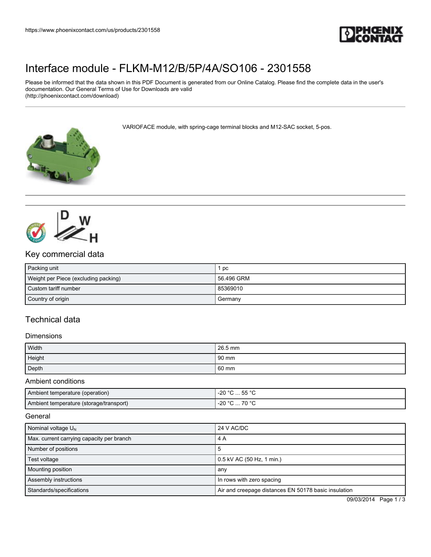

# [Interface module - FLKM-M12/B/5P/4A/SO106 - 2301558](https://www.phoenixcontact.com/us/products/2301558)

Please be informed that the data shown in this PDF Document is generated from our Online Catalog. Please find the complete data in the user's documentation. Our General Terms of Use for Downloads are valid (http://phoenixcontact.com/download)

VARIOFACE module, with spring-cage terminal blocks and M12-SAC socket, 5-pos.





### Key commercial data

| Packing unit                         | рc         |
|--------------------------------------|------------|
| Weight per Piece (excluding packing) | 56.496 GRM |
| Custom tariff number                 | 85369010   |
| Country of origin                    | Germany    |

## Technical data

#### **Dimensions**

| Width  | $26.5$ mm       |
|--------|-----------------|
| Height | 90 mm           |
| Depth  | $60 \text{ mm}$ |

Ambient conditions

| Ambient temperature (operation)         | $-20 °C  55 °C$ |
|-----------------------------------------|-----------------|
| Ambient temperature (storage/transport) | 70 °C<br>-20 °C |

**General** 

| Nominal voltage $U_{N}$                   | 24 V AC/DC                                           |
|-------------------------------------------|------------------------------------------------------|
| Max. current carrying capacity per branch | 4 A                                                  |
| Number of positions                       |                                                      |
| Test voltage                              | 0.5 kV AC (50 Hz, 1 min.)                            |
| Mounting position                         | any                                                  |
| Assembly instructions                     | In rows with zero spacing                            |
| Standards/specifications                  | Air and creepage distances EN 50178 basic insulation |

09/03/2014 Page 1 / 3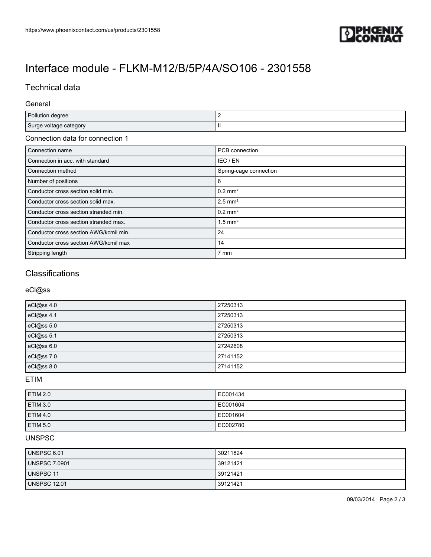

# [Interface module - FLKM-M12/B/5P/4A/SO106 - 2301558](https://www.phoenixcontact.com/us/products/2301558)

### Technical data

#### General

| Pollution degree       |     |
|------------------------|-----|
| Surge voltage category | -11 |

#### Connection data for connection 1

| Connection name                        | PCB connection         |
|----------------------------------------|------------------------|
| Connection in acc. with standard       | IEC / EN               |
| Connection method                      | Spring-cage connection |
| Number of positions                    | 6                      |
| Conductor cross section solid min.     | $0.2$ mm <sup>2</sup>  |
| Conductor cross section solid max.     | $2.5$ mm <sup>2</sup>  |
| Conductor cross section stranded min.  | $0.2$ mm <sup>2</sup>  |
| Conductor cross section stranded max.  | $1.5$ mm <sup>2</sup>  |
| Conductor cross section AWG/kcmil min. | 24                     |
| Conductor cross section AWG/kcmil max  | 14                     |
| Stripping length                       | 7 mm                   |

## **Classifications**

#### eCl@ss

| eCl@ss 4.0 | 27250313 |
|------------|----------|
| eCl@ss 4.1 | 27250313 |
| eCl@ss 5.0 | 27250313 |
| eCl@ss 5.1 | 27250313 |
| eCl@ss 6.0 | 27242608 |
| eCl@ss 7.0 | 27141152 |
| eCl@ss 8.0 | 27141152 |

ETIM

| <b>ETIM 2.0</b> | EC001434 |
|-----------------|----------|
| <b>ETIM 3.0</b> | EC001604 |
| <b>ETIM 4.0</b> | EC001604 |
| <b>ETIM 5.0</b> | EC002780 |

### UNSPSC

| UNSPSC 6.01          | 30211824 |
|----------------------|----------|
| <b>UNSPSC 7.0901</b> | 39121421 |
| <b>UNSPSC 11</b>     | 39121421 |
| <b>UNSPSC 12.01</b>  | 39121421 |